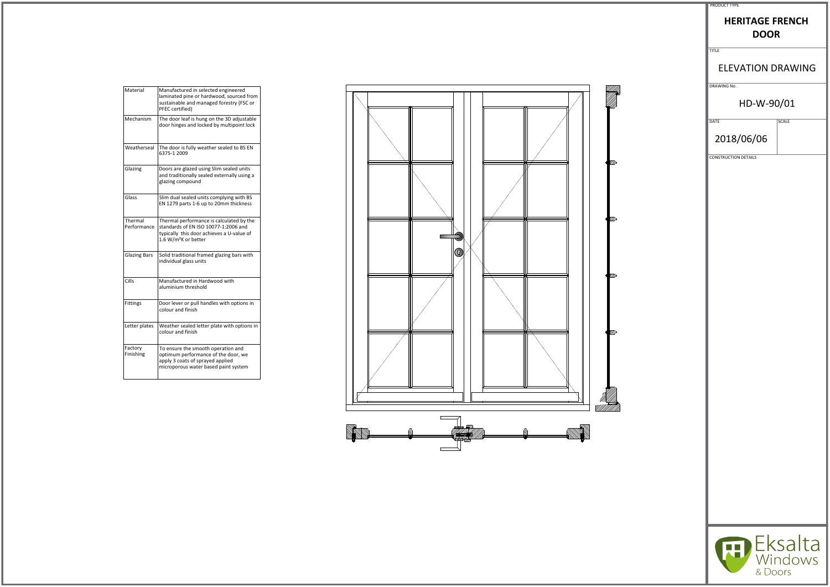| Material               | Manufactured in selected engineered<br>laminated pine or hardwood, sourced from<br>sustainable and managed forestry (FSC or<br>PFEC certified)                    |
|------------------------|-------------------------------------------------------------------------------------------------------------------------------------------------------------------|
| Mechanism              | The door leaf is hung on the 3D adjustable<br>door hinges and locked by multipoint lock                                                                           |
| Weatherseal            | The door is fully weather sealed to BS EN<br>6375-1 2009                                                                                                          |
| Glazing                | Doors are glazed using Slim sealed units<br>and traditionally sealed externally using a<br>glazing compound                                                       |
| Glass                  | Slim dual sealed units complying with BS<br>EN 1279 parts 1-6 up to 20mm thickness                                                                                |
| Thermal<br>Performance | Thermal performance is calculated by the<br>standards of EN ISO 10077-1:2006 and<br>typically this door achieves a U-value of<br>1.6 W/m <sup>2</sup> K or better |
| <b>Glazing Bars</b>    | Solid traditional framed glazing bars with<br>individual glass units                                                                                              |
| Cills                  | Manufactured in Hardwood with<br>aluminium threshold                                                                                                              |
| <b>Fittings</b>        | Door lever or pull handles with options in<br>colour and finish                                                                                                   |
| Letter plates          | Weather sealed letter plate with options in<br>colour and finish                                                                                                  |
| Factory<br>Finishing   | To ensure the smooth operation and<br>optimum performance of the door, we<br>apply 3 coats of sprayed applied<br>microporous water based paint system             |



| <b>PRODUCT TYPE</b> |  |
|---------------------|--|

# **HERITAGE FRENCH DOOR**

TITLE

#### ELEVATION DRAWING

DRAWING No.

#### HD-W-90/01

 $\overline{\phantom{a}}$  DATE SCALE

2018/06/06

CONSTRUCTION DETAILS